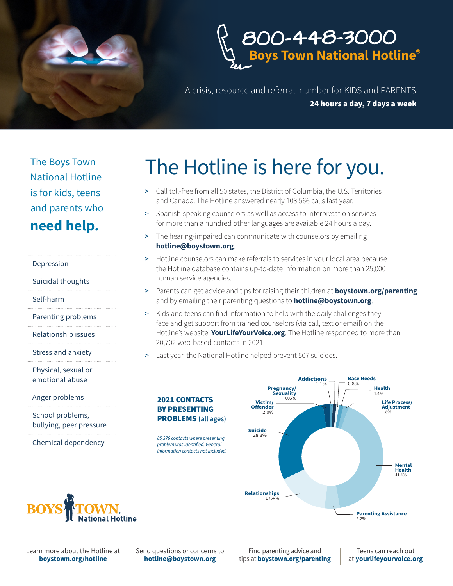



A crisis, resource and referral number for KIDS and PARENTS. 24 hours a day, 7 days a week

The Boys Town National Hotline is for kids, teens and parents who **need help.**

Depression

Suicidal thoughts

Self-harm

Parenting problems

Relationship issues

Stress and anxiety

Physical, sexual or emotional abuse

Anger problems

School problems, bullying, peer pressure

Chemical dependency

## The Hotline is here for you.

- > Call toll-free from all 50 states, the District of Columbia, the U.S. Territories and Canada. The Hotline answered nearly 103,566 calls last year.
- > Spanish-speaking counselors as well as access to interpretation services for more than a hundred other languages are available 24 hours a day.
- > The hearing-impaired can communicate with counselors by emailing **hotline@boystown.org**.
- > Hotline counselors can make referrals to services in your local area because the Hotline database contains up-to-date information on more than 25,000 human service agencies.
- > Parents can get advice and tips for raising their children at **boystown.org/parenting** and by emailing their parenting questions to **hotline@boystown.org**.
- > Kids and teens can find information to help with the daily challenges they face and get support from trained counselors (via call, text or email) on the Hotline's website, **YourLifeYourVoice.org**. The Hotline responded to more than 20,702 web-based contacts in 2021.
- Last year, the National Hotline helped prevent 507 suicides.





Learn more about the Hotline at **boystown.org/hotline**

Send questions or concerns to **hotline@boystown.org**

2021 CONTACTS BY PRESENTING

*problem was identified. General* 

Find parenting advice and tips at **boystown.org/parenting**

Teens can reach out at **yourlifeyourvoice.org**